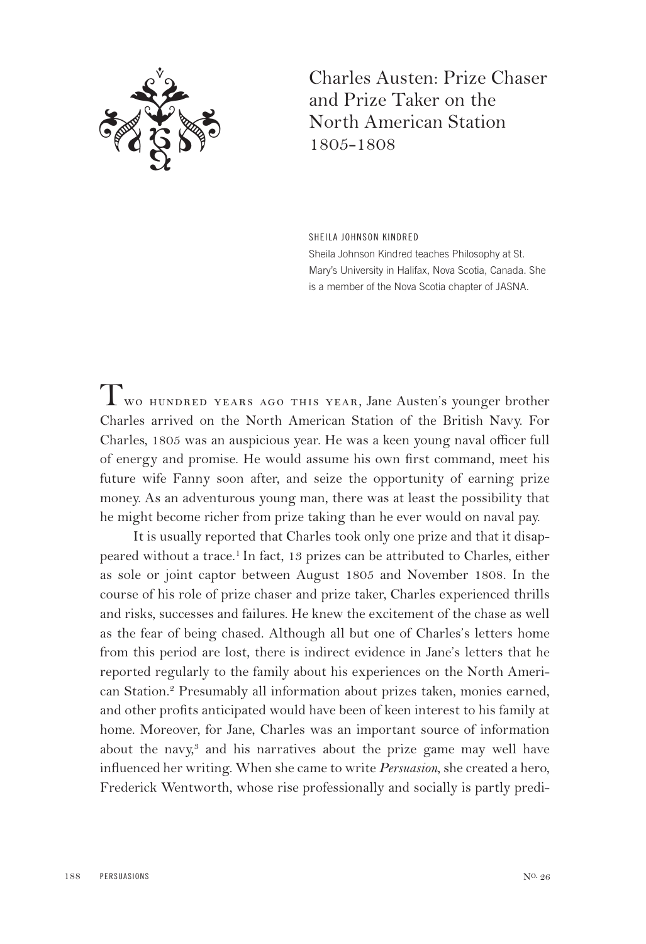

Charles Austen: Prize Chaser and Prize Taker on the North American Station 1805-1808

SHEILA JOHNSON KINDRED Sheila Johnson Kindred teaches Philosophy at St. Mary's University in Halifax, Nova Scotia, Canada. She is a member of the Nova Scotia chapter of JASNA.

Two hundred years ago this year, Jane Austen's younger brother Charles arrived on the North American Station of the British Navy. For Charles, 1805 was an auspicious year. He was a keen young naval officer full of energy and promise. He would assume his own first command, meet his future wife Fanny soon after, and seize the opportunity of earning prize money. As an adventurous young man, there was at least the possibility that he might become richer from prize taking than he ever would on naval pay.

It is usually reported that Charles took only one prize and that it disappeared without a trace.1 In fact, 13 prizes can be attributed to Charles, either as sole or joint captor between August 1805 and November 1808. In the course of his role of prize chaser and prize taker, Charles experienced thrills and risks, successes and failures. He knew the excitement of the chase as well as the fear of being chased. Although all but one of Charles's letters home from this period are lost, there is indirect evidence in Jane's letters that he reported regularly to the family about his experiences on the North American Station.2 Presumably all information about prizes taken, monies earned, and other profits anticipated would have been of keen interest to his family at home. Moreover, for Jane, Charles was an important source of information about the navy, $3$  and his narratives about the prize game may well have influenced her writing. When she came to write *Persuasion*, she created a hero, Frederick Wentworth, whose rise professionally and socially is partly predi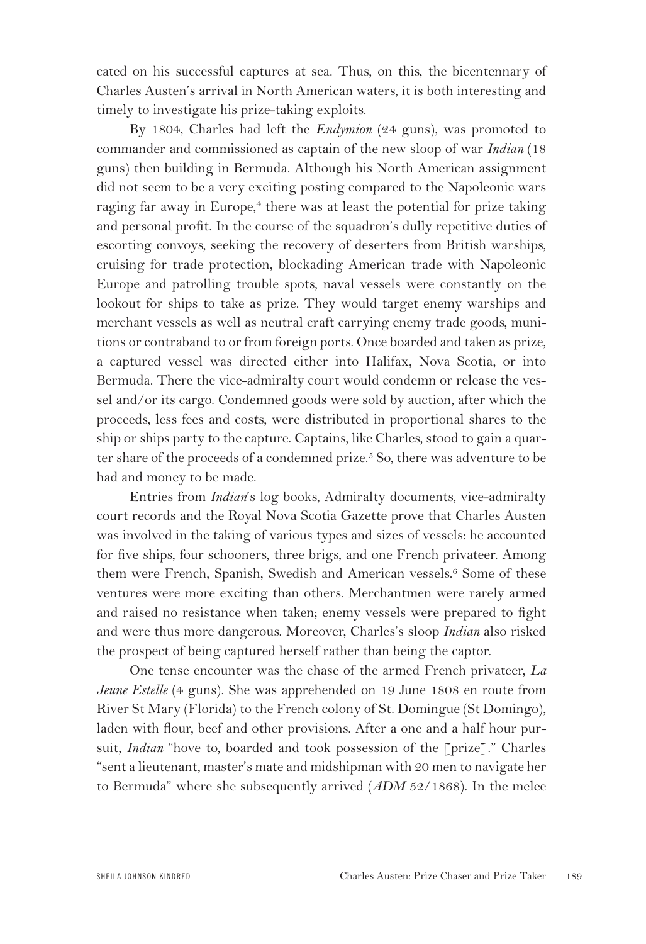cated on his successful captures at sea. Thus, on this, the bicentennary of Charles Austen's arrival in North American waters, it is both interesting and timely to investigate his prize-taking exploits.

By 1804, Charles had left the *Endymion* (24 guns), was promoted to commander and commissioned as captain of the new sloop of war *Indian* (18 guns) then building in Bermuda. Although his North American assignment did not seem to be a very exciting posting compared to the Napoleonic wars raging far away in Europe,<sup>4</sup> there was at least the potential for prize taking and personal profit. In the course of the squadron's dully repetitive duties of escorting convoys, seeking the recovery of deserters from British warships, cruising for trade protection, blockading American trade with Napoleonic Europe and patrolling trouble spots, naval vessels were constantly on the lookout for ships to take as prize. They would target enemy warships and merchant vessels as well as neutral craft carrying enemy trade goods, munitions or contraband to or from foreign ports. Once boarded and taken as prize, a captured vessel was directed either into Halifax, Nova Scotia, or into Bermuda. There the vice-admiralty court would condemn or release the vessel and/or its cargo. Condemned goods were sold by auction, after which the proceeds, less fees and costs, were distributed in proportional shares to the ship or ships party to the capture. Captains, like Charles, stood to gain a quarter share of the proceeds of a condemned prize.<sup>5</sup> So, there was adventure to be had and money to be made.

Entries from *Indian*'s log books, Admiralty documents, vice-admiralty court records and the Royal Nova Scotia Gazette prove that Charles Austen was involved in the taking of various types and sizes of vessels: he accounted for five ships, four schooners, three brigs, and one French privateer. Among them were French, Spanish, Swedish and American vessels.<sup>6</sup> Some of these ventures were more exciting than others. Merchantmen were rarely armed and raised no resistance when taken; enemy vessels were prepared to fight and were thus more dangerous. Moreover, Charles's sloop *Indian* also risked the prospect of being captured herself rather than being the captor.

One tense encounter was the chase of the armed French privateer, *La Jeune Estelle* (4 guns). She was apprehended on 19 June 1808 en route from River St Mary (Florida) to the French colony of St. Domingue (St Domingo), laden with flour, beef and other provisions. After a one and a half hour pursuit, *Indian* "hove to, boarded and took possession of the [prize]." Charles "sent a lieutenant, master's mate and midshipman with 20 men to navigate her to Bermuda" where she subsequently arrived (*ADM* 52/1868). In the melee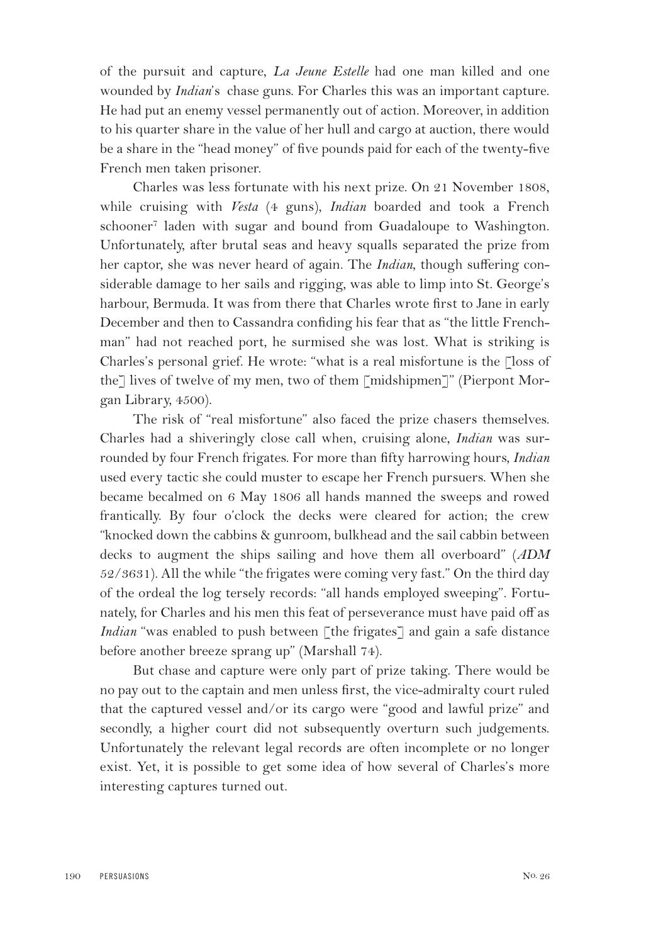of the pursuit and capture, *La Jeune Estelle* had one man killed and one wounded by *Indian*'s chase guns. For Charles this was an important capture. He had put an enemy vessel permanently out of action. Moreover, in addition to his quarter share in the value of her hull and cargo at auction, there would be a share in the "head money" of five pounds paid for each of the twenty-five French men taken prisoner.

Charles was less fortunate with his next prize. On 21 November 1808, while cruising with *Vesta* (4 guns), *Indian* boarded and took a French schooner7 laden with sugar and bound from Guadaloupe to Washington. Unfortunately, after brutal seas and heavy squalls separated the prize from her captor, she was never heard of again. The *Indian*, though suffering considerable damage to her sails and rigging, was able to limp into St. George's harbour, Bermuda. It was from there that Charles wrote first to Jane in early December and then to Cassandra confiding his fear that as "the little Frenchman" had not reached port, he surmised she was lost. What is striking is Charles's personal grief. He wrote: "what is a real misfortune is the [loss of the] lives of twelve of my men, two of them [midshipmen]" (Pierpont Morgan Library, 4500).

The risk of "real misfortune" also faced the prize chasers themselves. Charles had a shiveringly close call when, cruising alone, *Indian* was surrounded by four French frigates. For more than fifty harrowing hours, *Indian* used every tactic she could muster to escape her French pursuers. When she became becalmed on 6 May 1806 all hands manned the sweeps and rowed frantically. By four o'clock the decks were cleared for action; the crew "knocked down the cabbins & gunroom, bulkhead and the sail cabbin between decks to augment the ships sailing and hove them all overboard" (*ADM* 52/3631). All the while "the frigates were coming very fast." On the third day of the ordeal the log tersely records: "all hands employed sweeping". Fortunately, for Charles and his men this feat of perseverance must have paid off as *Indian* "was enabled to push between [the frigates] and gain a safe distance before another breeze sprang up" (Marshall 74).

But chase and capture were only part of prize taking. There would be no pay out to the captain and men unless first, the vice-admiralty court ruled that the captured vessel and/or its cargo were "good and lawful prize" and secondly, a higher court did not subsequently overturn such judgements. Unfortunately the relevant legal records are often incomplete or no longer exist. Yet, it is possible to get some idea of how several of Charles's more interesting captures turned out.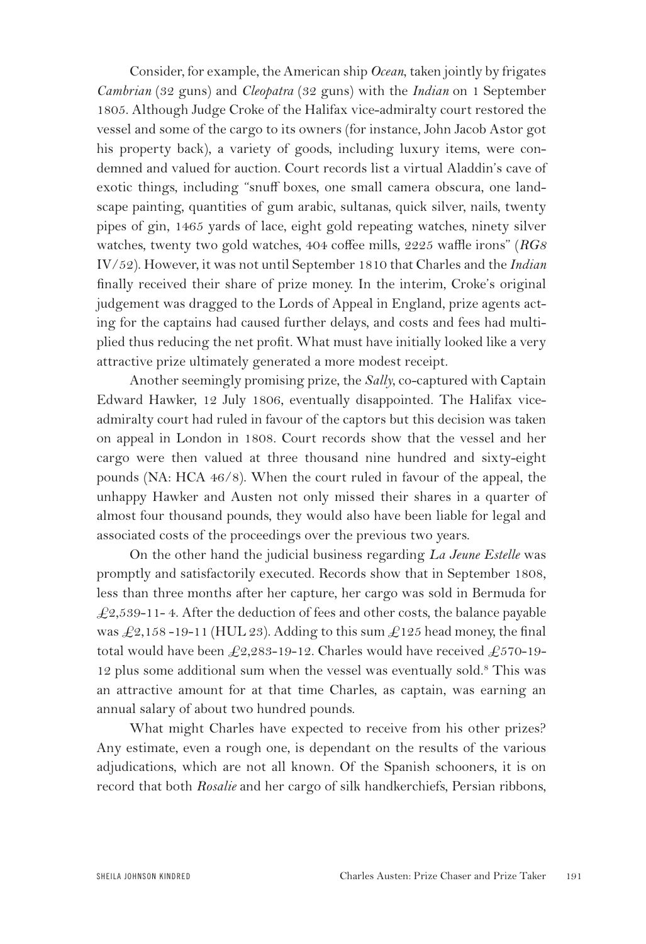Consider, for example, the American ship *Ocean*, taken jointly by frigates *Cambrian* (32 guns) and *Cleopatra* (32 guns) with the *Indian* on 1 September 1805. Although Judge Croke of the Halifax vice-admiralty court restored the vessel and some of the cargo to its owners (for instance, John Jacob Astor got his property back), a variety of goods, including luxury items, were condemned and valued for auction. Court records list a virtual Aladdin's cave of exotic things, including "snuff boxes, one small camera obscura, one landscape painting, quantities of gum arabic, sultanas, quick silver, nails, twenty pipes of gin, 1465 yards of lace, eight gold repeating watches, ninety silver watches, twenty two gold watches, 404 coffee mills, 2225 waffle irons" (*RG8* IV/52). However, it was not until September 1810 that Charles and the *Indian* finally received their share of prize money. In the interim, Croke's original judgement was dragged to the Lords of Appeal in England, prize agents acting for the captains had caused further delays, and costs and fees had multiplied thus reducing the net profit. What must have initially looked like a very attractive prize ultimately generated a more modest receipt.

Another seemingly promising prize, the *Sally*, co-captured with Captain Edward Hawker, 12 July 1806, eventually disappointed. The Halifax viceadmiralty court had ruled in favour of the captors but this decision was taken on appeal in London in 1808. Court records show that the vessel and her cargo were then valued at three thousand nine hundred and sixty-eight pounds (NA: HCA 46/8). When the court ruled in favour of the appeal, the unhappy Hawker and Austen not only missed their shares in a quarter of almost four thousand pounds, they would also have been liable for legal and associated costs of the proceedings over the previous two years.

On the other hand the judicial business regarding *La Jeune Estelle* was promptly and satisfactorily executed. Records show that in September 1808, less than three months after her capture, her cargo was sold in Bermuda for  $\text{\textsterling}2,539-11-4.$  After the deduction of fees and other costs, the balance payable was  $\text{\textsterling}2,158$  -19-11 (HUL 23). Adding to this sum  $\text{\textsterling}125$  head money, the final total would have been  $\pounds2,283-19-12$ . Charles would have received  $\pounds570-19-$ 12 plus some additional sum when the vessel was eventually sold.8 This was an attractive amount for at that time Charles, as captain, was earning an annual salary of about two hundred pounds.

What might Charles have expected to receive from his other prizes? Any estimate, even a rough one, is dependant on the results of the various adjudications, which are not all known. Of the Spanish schooners, it is on record that both *Rosalie* and her cargo of silk handkerchiefs, Persian ribbons,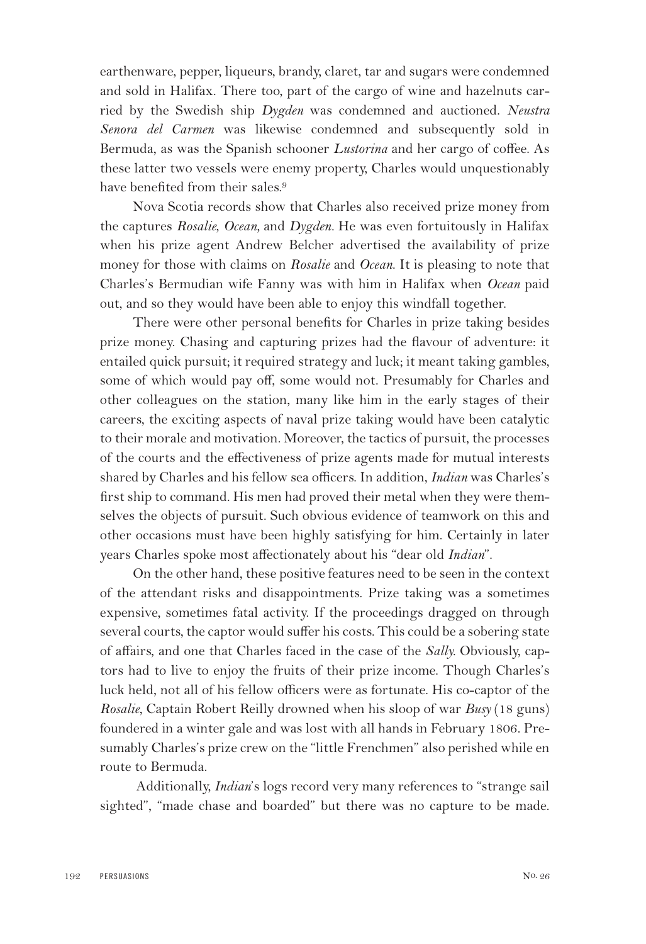earthenware, pepper, liqueurs, brandy, claret, tar and sugars were condemned and sold in Halifax. There too, part of the cargo of wine and hazelnuts carried by the Swedish ship *Dygden* was condemned and auctioned. *Neustra Senora del Carmen* was likewise condemned and subsequently sold in Bermuda, as was the Spanish schooner *Lustorina* and her cargo of coffee. As these latter two vessels were enemy property, Charles would unquestionably have benefited from their sales.<sup>9</sup>

Nova Scotia records show that Charles also received prize money from the captures *Rosalie*, *Ocean,* and *Dygden.* He was even fortuitously in Halifax when his prize agent Andrew Belcher advertised the availability of prize money for those with claims on *Rosalie* and *Ocean*. It is pleasing to note that Charles's Bermudian wife Fanny was with him in Halifax when *Ocean* paid out, and so they would have been able to enjoy this windfall together.

There were other personal benefits for Charles in prize taking besides prize money. Chasing and capturing prizes had the flavour of adventure: it entailed quick pursuit; it required strategy and luck; it meant taking gambles, some of which would pay off, some would not. Presumably for Charles and other colleagues on the station, many like him in the early stages of their careers, the exciting aspects of naval prize taking would have been catalytic to their morale and motivation. Moreover, the tactics of pursuit, the processes of the courts and the effectiveness of prize agents made for mutual interests shared by Charles and his fellow sea officers. In addition, *Indian* was Charles's first ship to command. His men had proved their metal when they were themselves the objects of pursuit. Such obvious evidence of teamwork on this and other occasions must have been highly satisfying for him. Certainly in later years Charles spoke most affectionately about his "dear old *Indian*".

On the other hand, these positive features need to be seen in the context of the attendant risks and disappointments. Prize taking was a sometimes expensive, sometimes fatal activity. If the proceedings dragged on through several courts, the captor would suffer his costs. This could be a sobering state of affairs, and one that Charles faced in the case of the *Sally.* Obviously, captors had to live to enjoy the fruits of their prize income. Though Charles's luck held, not all of his fellow officers were as fortunate. His co-captor of the *Rosalie*, Captain Robert Reilly drowned when his sloop of war *Busy* (18 guns) foundered in a winter gale and was lost with all hands in February 1806. Presumably Charles's prize crew on the "little Frenchmen" also perished while en route to Bermuda.

Additionally, *Indian*'s logs record very many references to "strange sail sighted", "made chase and boarded" but there was no capture to be made.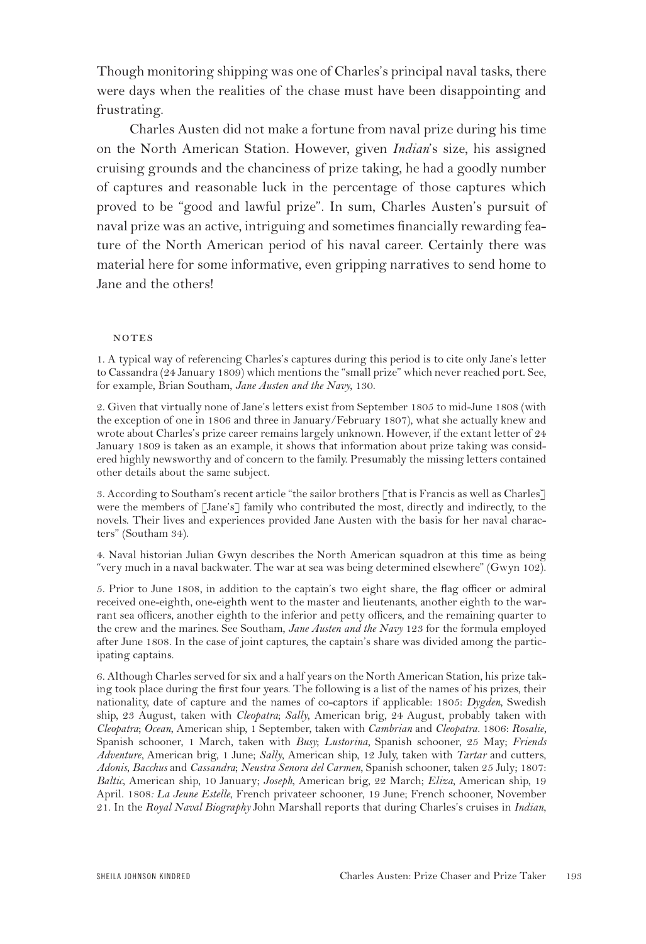Though monitoring shipping was one of Charles's principal naval tasks, there were days when the realities of the chase must have been disappointing and frustrating.

Charles Austen did not make a fortune from naval prize during his time on the North American Station. However, given *Indian*'s size, his assigned cruising grounds and the chanciness of prize taking, he had a goodly number of captures and reasonable luck in the percentage of those captures which proved to be "good and lawful prize". In sum, Charles Austen's pursuit of naval prize was an active, intriguing and sometimes financially rewarding feature of the North American period of his naval career. Certainly there was material here for some informative, even gripping narratives to send home to Jane and the others!

## **NOTES**

1. A typical way of referencing Charles's captures during this period is to cite only Jane's letter to Cassandra (24 January 1809) which mentions the "small prize" which never reached port. See, for example, Brian Southam, *Jane Austen and the Navy*, 130.

2. Given that virtually none of Jane's letters exist from September 1805 to mid-June 1808 (with the exception of one in 1806 and three in January/February 1807), what she actually knew and wrote about Charles's prize career remains largely unknown. However, if the extant letter of 24 January 1809 is taken as an example, it shows that information about prize taking was considered highly newsworthy and of concern to the family. Presumably the missing letters contained other details about the same subject.

3. According to Southam's recent article "the sailor brothers [that is Francis as well as Charles] were the members of [Jane's] family who contributed the most, directly and indirectly, to the novels. Their lives and experiences provided Jane Austen with the basis for her naval characters" (Southam 34).

4. Naval historian Julian Gwyn describes the North American squadron at this time as being "very much in a naval backwater. The war at sea was being determined elsewhere" (Gwyn 102).

5. Prior to June 1808, in addition to the captain's two eight share, the flag officer or admiral received one-eighth, one-eighth went to the master and lieutenants, another eighth to the warrant sea officers, another eighth to the inferior and petty officers, and the remaining quarter to the crew and the marines. See Southam, *Jane Austen and the Navy* 123 for the formula employed after June 1808. In the case of joint captures, the captain's share was divided among the participating captains.

6. Although Charles served for six and a half years on the North American Station, his prize taking took place during the first four years. The following is a list of the names of his prizes, their nationality, date of capture and the names of co-captors if applicable: 1805: *Dygden*, Swedish ship, 23 August, taken with *Cleopatra*; *Sally*, American brig, 24 August, probably taken with *Cleopatra*; *Ocean*, American ship, 1 September, taken with *Cambrian* and *Cleopatra.* 1806: *Rosalie,* Spanish schooner, 1 March, taken with *Busy*; *Lustorina,* Spanish schooner, 25 May; *Friends Adventure,* American brig, 1 June; *Sally*, American ship, 12 July, taken with *Tartar* and cutters, *Adonis*, *Bacchus* and *Cassandra*; *Neustra Senora del Carmen*, Spanish schooner, taken 25 July; 1807: *Baltic*, American ship, 10 January; *Joseph*, American brig, 22 March; *Eliza*, American ship, 19 April. 1808*: La Jeune Estelle*, French privateer schooner, 19 June; French schooner, November 21. In the *Royal Naval Biography* John Marshall reports that during Charles's cruises in *Indian*,